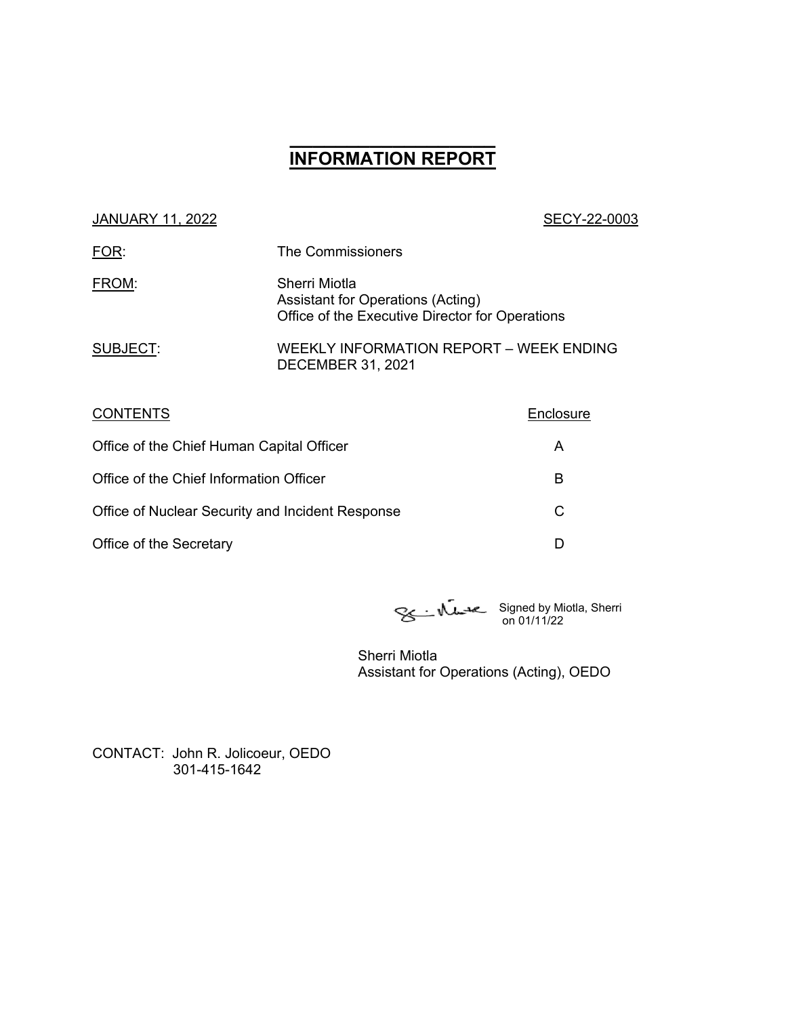# **\_\_\_\_\_\_\_\_\_\_\_\_\_\_\_\_\_\_ INFORMATION REPORT**

| <b>JANUARY 11, 2022</b> |  |
|-------------------------|--|
|                         |  |

#### SECY-22-0003

| FOR:     | The Commissioners                                                                                     |
|----------|-------------------------------------------------------------------------------------------------------|
| FROM:    | Sherri Miotla<br>Assistant for Operations (Acting)<br>Office of the Executive Director for Operations |
| SUBJECT: | WEEKLY INFORMATION REPORT - WEEK ENDING<br><b>DECEMBER 31, 2021</b>                                   |

| <b>CONTENTS</b>                                  | Enclosure |
|--------------------------------------------------|-----------|
| Office of the Chief Human Capital Officer        | Α         |
| Office of the Chief Information Officer          | В         |
| Office of Nuclear Security and Incident Response | C         |
| Office of the Secretary                          |           |

Signed by Miotla, Sherri on 01/11/22

Sherri Miotla Assistant for Operations (Acting), OEDO

CONTACT: John R. Jolicoeur, OEDO 301-415-1642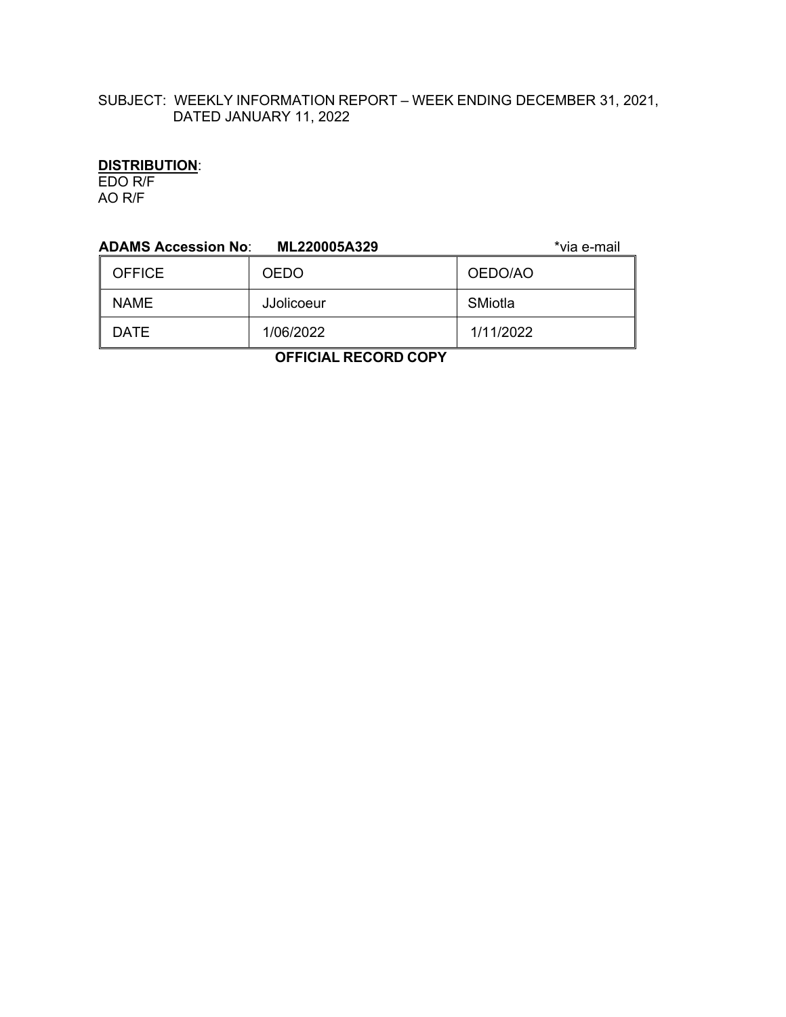# SUBJECT: WEEKLY INFORMATION REPORT – WEEK ENDING DECEMBER 31, 2021, DATED JANUARY 11, 2022

# **DISTRIBUTION**:

EDO R/F AO R/F

| <b>ADAMS Accession No:</b><br>*via e-mail<br>ML220005A329 |                   |           |  |  |
|-----------------------------------------------------------|-------------------|-----------|--|--|
| <b>OFFICE</b>                                             | <b>OEDO</b>       | OEDO/AO   |  |  |
| <b>NAME</b>                                               | <b>JJolicoeur</b> | SMiotla   |  |  |
| <b>DATE</b>                                               | 1/06/2022         | 1/11/2022 |  |  |
|                                                           |                   |           |  |  |

 **OFFICIAL RECORD COPY**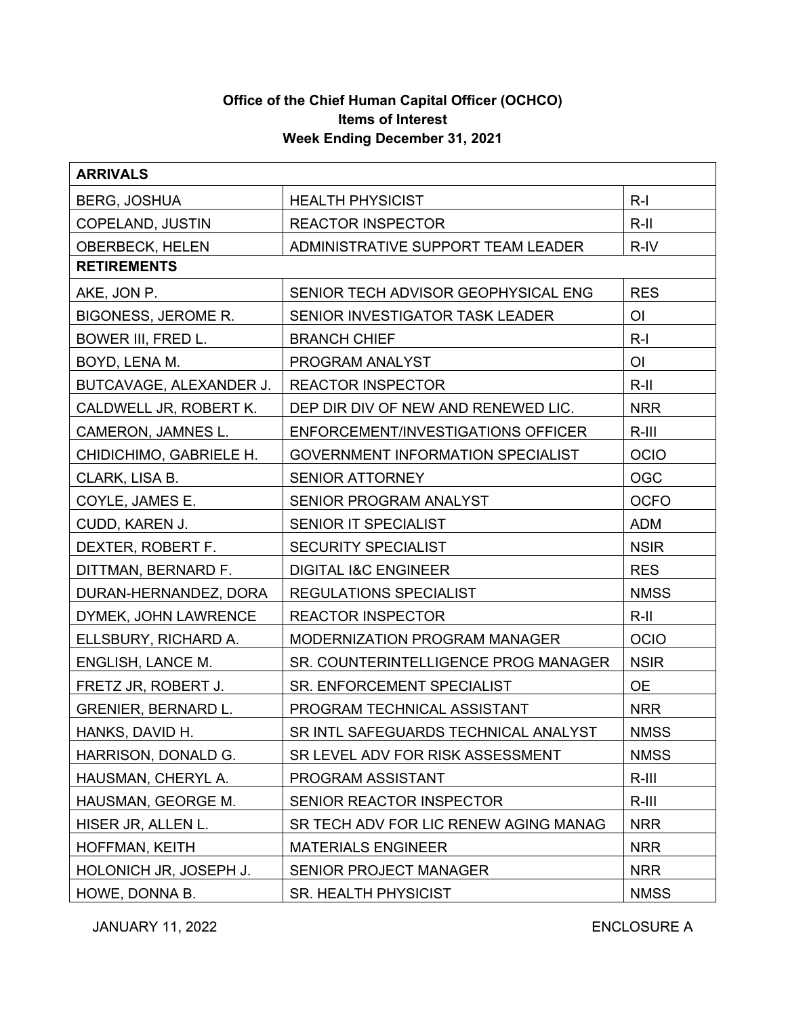# **Office of the Chief Human Capital Officer (OCHCO) Items of Interest Week Ending December 31, 2021**

| <b>ARRIVALS</b>            |                                          |                |  |  |
|----------------------------|------------------------------------------|----------------|--|--|
| <b>BERG, JOSHUA</b>        | <b>HEALTH PHYSICIST</b>                  | $R-I$          |  |  |
| COPELAND, JUSTIN           | <b>REACTOR INSPECTOR</b>                 | $R-II$         |  |  |
| <b>OBERBECK, HELEN</b>     | ADMINISTRATIVE SUPPORT TEAM LEADER       | R-IV           |  |  |
| <b>RETIREMENTS</b>         |                                          |                |  |  |
| AKE, JON P.                | SENIOR TECH ADVISOR GEOPHYSICAL ENG      | <b>RES</b>     |  |  |
| <b>BIGONESS, JEROME R.</b> | SENIOR INVESTIGATOR TASK LEADER          | O <sub>l</sub> |  |  |
| BOWER III, FRED L.         | <b>BRANCH CHIEF</b>                      | $R-I$          |  |  |
| BOYD, LENA M.              | PROGRAM ANALYST                          | O <sub>l</sub> |  |  |
| BUTCAVAGE, ALEXANDER J.    | <b>REACTOR INSPECTOR</b>                 | $R$ -II        |  |  |
| CALDWELL JR, ROBERT K.     | DEP DIR DIV OF NEW AND RENEWED LIC.      | <b>NRR</b>     |  |  |
| CAMERON, JAMNES L.         | ENFORCEMENT/INVESTIGATIONS OFFICER       | $R-III$        |  |  |
| CHIDICHIMO, GABRIELE H.    | <b>GOVERNMENT INFORMATION SPECIALIST</b> | <b>OCIO</b>    |  |  |
| CLARK, LISA B.             | <b>SENIOR ATTORNEY</b>                   | <b>OGC</b>     |  |  |
| COYLE, JAMES E.            | SENIOR PROGRAM ANALYST                   | <b>OCFO</b>    |  |  |
| CUDD, KAREN J.             | SENIOR IT SPECIALIST                     | <b>ADM</b>     |  |  |
| DEXTER, ROBERT F.          | <b>SECURITY SPECIALIST</b>               | <b>NSIR</b>    |  |  |
| DITTMAN, BERNARD F.        | <b>DIGITAL I&amp;C ENGINEER</b>          | <b>RES</b>     |  |  |
| DURAN-HERNANDEZ, DORA      | <b>REGULATIONS SPECIALIST</b>            | <b>NMSS</b>    |  |  |
| DYMEK, JOHN LAWRENCE       | <b>REACTOR INSPECTOR</b>                 | $R-II$         |  |  |
| ELLSBURY, RICHARD A.       | MODERNIZATION PROGRAM MANAGER            | <b>OCIO</b>    |  |  |
| ENGLISH, LANCE M.          | SR. COUNTERINTELLIGENCE PROG MANAGER     | <b>NSIR</b>    |  |  |
| FRETZ JR, ROBERT J.        | SR. ENFORCEMENT SPECIALIST               | <b>OE</b>      |  |  |
| <b>GRENIER, BERNARD L.</b> | PROGRAM TECHNICAL ASSISTANT              | <b>NRR</b>     |  |  |
| HANKS, DAVID H.            | SR INTL SAFEGUARDS TECHNICAL ANALYST     | <b>NMSS</b>    |  |  |
| HARRISON, DONALD G.        | SR LEVEL ADV FOR RISK ASSESSMENT         | <b>NMSS</b>    |  |  |
| HAUSMAN, CHERYL A.         | PROGRAM ASSISTANT                        | $R-III$        |  |  |
| HAUSMAN, GEORGE M.         | SENIOR REACTOR INSPECTOR                 | $R-III$        |  |  |
| HISER JR, ALLEN L.         | SR TECH ADV FOR LIC RENEW AGING MANAG    | <b>NRR</b>     |  |  |
| HOFFMAN, KEITH             | <b>MATERIALS ENGINEER</b>                | <b>NRR</b>     |  |  |
| HOLONICH JR, JOSEPH J.     | <b>SENIOR PROJECT MANAGER</b>            | <b>NRR</b>     |  |  |
| HOWE, DONNA B.             | <b>SR. HEALTH PHYSICIST</b>              | <b>NMSS</b>    |  |  |

JANUARY 11, 2022 ENCLOSURE A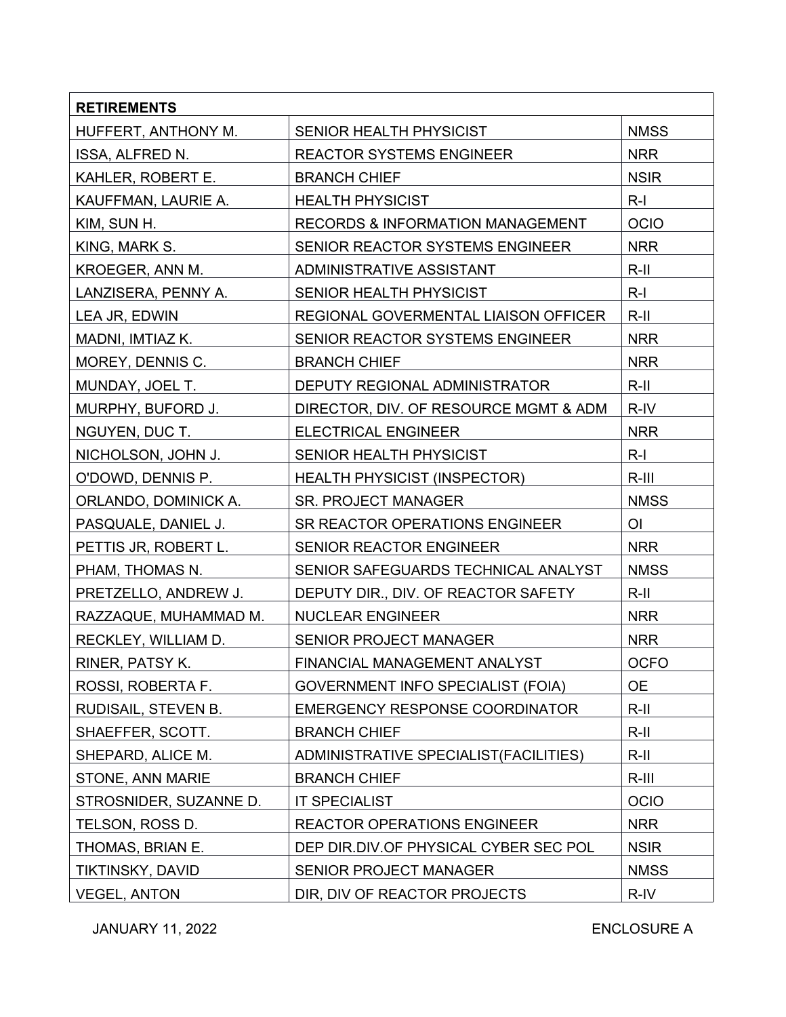| <b>RETIREMENTS</b>     |                                             |                |
|------------------------|---------------------------------------------|----------------|
| HUFFERT, ANTHONY M.    | SENIOR HEALTH PHYSICIST                     | <b>NMSS</b>    |
| ISSA, ALFRED N.        | <b>REACTOR SYSTEMS ENGINEER</b>             | <b>NRR</b>     |
| KAHLER, ROBERT E.      | <b>BRANCH CHIEF</b>                         | <b>NSIR</b>    |
| KAUFFMAN, LAURIE A.    | <b>HEALTH PHYSICIST</b>                     | $R-I$          |
| KIM, SUN H.            | <b>RECORDS &amp; INFORMATION MANAGEMENT</b> | <b>OCIO</b>    |
| KING, MARK S.          | SENIOR REACTOR SYSTEMS ENGINEER             | <b>NRR</b>     |
| KROEGER, ANN M.        | ADMINISTRATIVE ASSISTANT                    | $R$ -II        |
| LANZISERA, PENNY A.    | SENIOR HEALTH PHYSICIST                     | $R-I$          |
| LEA JR, EDWIN          | REGIONAL GOVERMENTAL LIAISON OFFICER        | $R-II$         |
| MADNI, IMTIAZ K.       | SENIOR REACTOR SYSTEMS ENGINEER             | <b>NRR</b>     |
| MOREY, DENNIS C.       | <b>BRANCH CHIEF</b>                         | <b>NRR</b>     |
| MUNDAY, JOEL T.        | DEPUTY REGIONAL ADMINISTRATOR               | $R$ -II        |
| MURPHY, BUFORD J.      | DIRECTOR, DIV. OF RESOURCE MGMT & ADM       | R-IV           |
| NGUYEN, DUC T.         | <b>ELECTRICAL ENGINEER</b>                  | <b>NRR</b>     |
| NICHOLSON, JOHN J.     | SENIOR HEALTH PHYSICIST                     | $R-I$          |
| O'DOWD, DENNIS P.      | <b>HEALTH PHYSICIST (INSPECTOR)</b>         | $R-III$        |
| ORLANDO, DOMINICK A.   | <b>SR. PROJECT MANAGER</b>                  | <b>NMSS</b>    |
| PASQUALE, DANIEL J.    | SR REACTOR OPERATIONS ENGINEER              | O <sub>l</sub> |
| PETTIS JR, ROBERT L.   | SENIOR REACTOR ENGINEER                     | <b>NRR</b>     |
| PHAM, THOMAS N.        | SENIOR SAFEGUARDS TECHNICAL ANALYST         | <b>NMSS</b>    |
| PRETZELLO, ANDREW J.   | DEPUTY DIR., DIV. OF REACTOR SAFETY         | $R-II$         |
| RAZZAQUE, MUHAMMAD M.  | <b>NUCLEAR ENGINEER</b>                     | <b>NRR</b>     |
| RECKLEY, WILLIAM D.    | <b>SENIOR PROJECT MANAGER</b>               | <b>NRR</b>     |
| RINER, PATSY K.        | FINANCIAL MANAGEMENT ANALYST                | <b>OCFO</b>    |
| ROSSI, ROBERTA F.      | <b>GOVERNMENT INFO SPECIALIST (FOIA)</b>    | <b>OE</b>      |
| RUDISAIL, STEVEN B.    | <b>EMERGENCY RESPONSE COORDINATOR</b>       | $R-II$         |
| SHAEFFER, SCOTT.       | <b>BRANCH CHIEF</b>                         | $R-II$         |
| SHEPARD, ALICE M.      | ADMINISTRATIVE SPECIALIST(FACILITIES)       | $R-II$         |
| STONE, ANN MARIE       | <b>BRANCH CHIEF</b>                         | $R-III$        |
| STROSNIDER, SUZANNE D. | <b>IT SPECIALIST</b>                        | <b>OCIO</b>    |
| TELSON, ROSS D.        | <b>REACTOR OPERATIONS ENGINEER</b>          | <b>NRR</b>     |
| THOMAS, BRIAN E.       | DEP DIR.DIV.OF PHYSICAL CYBER SEC POL       | <b>NSIR</b>    |
| TIKTINSKY, DAVID       | SENIOR PROJECT MANAGER                      | <b>NMSS</b>    |
| <b>VEGEL, ANTON</b>    | DIR, DIV OF REACTOR PROJECTS                | R-IV           |

JANUARY 11, 2022 ENCLOSURE A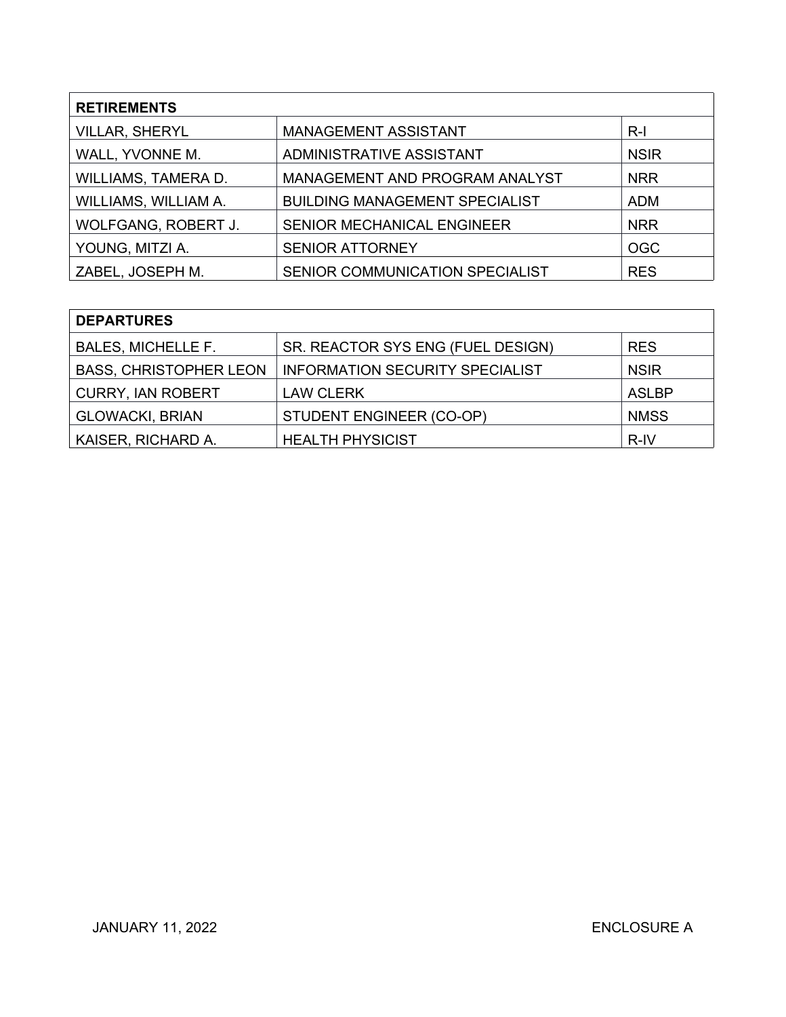| <b>RETIREMENTS</b>    |                                       |             |  |
|-----------------------|---------------------------------------|-------------|--|
| <b>VILLAR, SHERYL</b> | <b>MANAGEMENT ASSISTANT</b>           | $R-I$       |  |
| WALL, YVONNE M.       | ADMINISTRATIVE ASSISTANT              | <b>NSIR</b> |  |
| WILLIAMS, TAMERA D.   | MANAGEMENT AND PROGRAM ANALYST        | <b>NRR</b>  |  |
| WILLIAMS, WILLIAM A.  | <b>BUILDING MANAGEMENT SPECIALIST</b> | <b>ADM</b>  |  |
| WOLFGANG, ROBERT J.   | <b>SENIOR MECHANICAL ENGINEER</b>     | <b>NRR</b>  |  |
| YOUNG, MITZI A.       | <b>SENIOR ATTORNEY</b>                | <b>OGC</b>  |  |
| ZABEL, JOSEPH M.      | SENIOR COMMUNICATION SPECIALIST       | <b>RES</b>  |  |

| <b>DEPARTURES</b>             |                                        |              |  |  |
|-------------------------------|----------------------------------------|--------------|--|--|
| <b>BALES, MICHELLE F.</b>     | SR. REACTOR SYS ENG (FUEL DESIGN)      | <b>RES</b>   |  |  |
| <b>BASS, CHRISTOPHER LEON</b> | <b>INFORMATION SECURITY SPECIALIST</b> | <b>NSIR</b>  |  |  |
| <b>CURRY, IAN ROBERT</b>      | <b>LAW CLERK</b>                       | <b>ASLBP</b> |  |  |
| <b>GLOWACKI, BRIAN</b>        | STUDENT ENGINEER (CO-OP)               | <b>NMSS</b>  |  |  |
| KAISER, RICHARD A.            | <b>HEALTH PHYSICIST</b>                | R-IV         |  |  |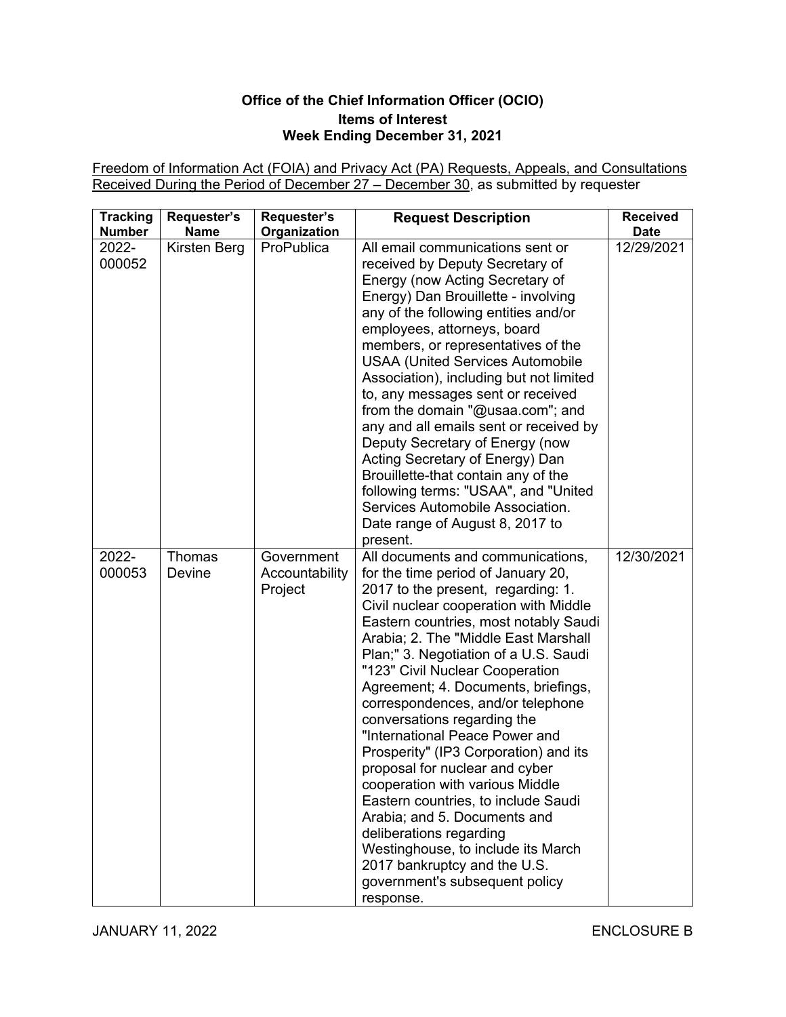# **Office of the Chief Information Officer (OCIO) Items of Interest Week Ending December 31, 2021**

Freedom of Information Act (FOIA) and Privacy Act (PA) Requests, Appeals, and Consultations Received During the Period of December 27 – December 30, as submitted by requester

| <b>Tracking</b><br><b>Number</b> | Requester's<br><b>Name</b> | Requester's<br>Organization             | <b>Request Description</b>                                                                                                                                                                                                                                                                                                                                                                                                                                                                                                                                                                                                                                                                                                                                                                             | <b>Received</b><br><b>Date</b> |
|----------------------------------|----------------------------|-----------------------------------------|--------------------------------------------------------------------------------------------------------------------------------------------------------------------------------------------------------------------------------------------------------------------------------------------------------------------------------------------------------------------------------------------------------------------------------------------------------------------------------------------------------------------------------------------------------------------------------------------------------------------------------------------------------------------------------------------------------------------------------------------------------------------------------------------------------|--------------------------------|
| 2022-<br>000052                  | Kirsten Berg               | ProPublica                              | All email communications sent or<br>received by Deputy Secretary of<br>Energy (now Acting Secretary of<br>Energy) Dan Brouillette - involving<br>any of the following entities and/or<br>employees, attorneys, board<br>members, or representatives of the<br><b>USAA (United Services Automobile</b><br>Association), including but not limited<br>to, any messages sent or received<br>from the domain "@usaa.com"; and<br>any and all emails sent or received by<br>Deputy Secretary of Energy (now<br>Acting Secretary of Energy) Dan<br>Brouillette-that contain any of the<br>following terms: "USAA", and "United<br>Services Automobile Association.<br>Date range of August 8, 2017 to<br>present.                                                                                            | 12/29/2021                     |
| 2022-<br>000053                  | Thomas<br>Devine           | Government<br>Accountability<br>Project | All documents and communications,<br>for the time period of January 20,<br>2017 to the present, regarding: 1.<br>Civil nuclear cooperation with Middle<br>Eastern countries, most notably Saudi<br>Arabia; 2. The "Middle East Marshall"<br>Plan;" 3. Negotiation of a U.S. Saudi<br>"123" Civil Nuclear Cooperation<br>Agreement; 4. Documents, briefings,<br>correspondences, and/or telephone<br>conversations regarding the<br>"International Peace Power and<br>Prosperity" (IP3 Corporation) and its<br>proposal for nuclear and cyber<br>cooperation with various Middle<br>Eastern countries, to include Saudi<br>Arabia; and 5. Documents and<br>deliberations regarding<br>Westinghouse, to include its March<br>2017 bankruptcy and the U.S.<br>government's subsequent policy<br>response. | 12/30/2021                     |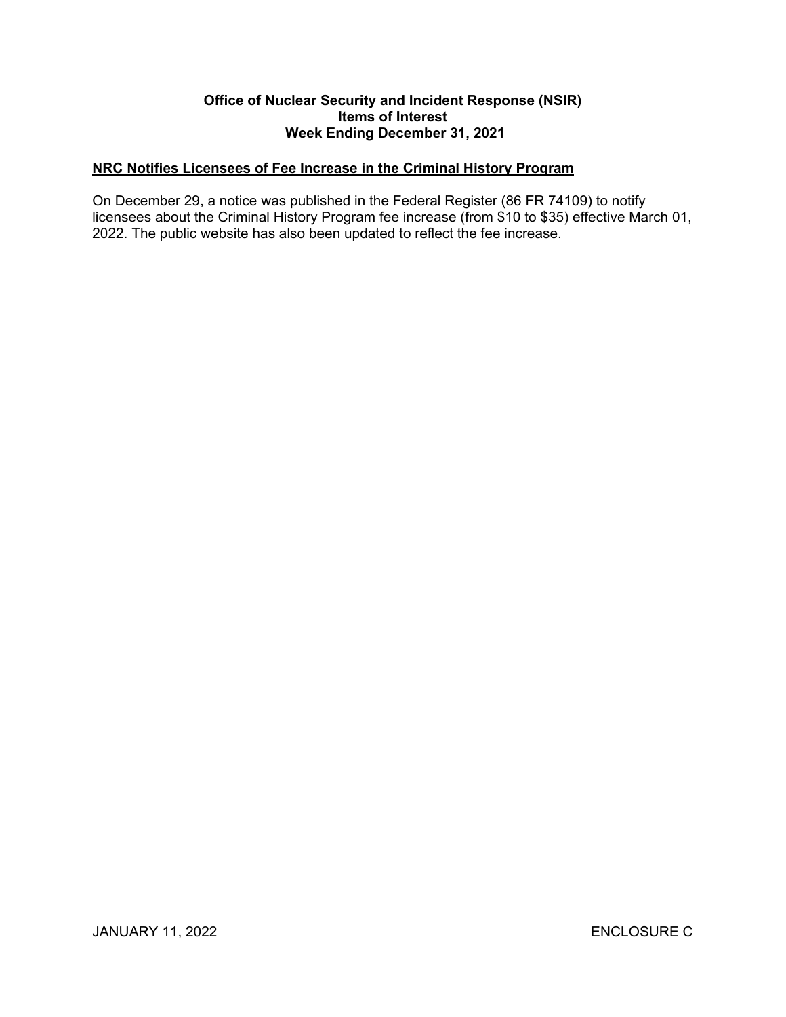#### **Office of Nuclear Security and Incident Response (NSIR) Items of Interest Week Ending December 31, 2021**

## **NRC Notifies Licensees of Fee Increase in the Criminal History Program**

On December 29, a notice was published in the Federal Register (86 FR 74109) to notify licensees about the Criminal History Program fee increase (from \$10 to \$35) effective March 01, 2022. The public website has also been updated to reflect the fee increase.